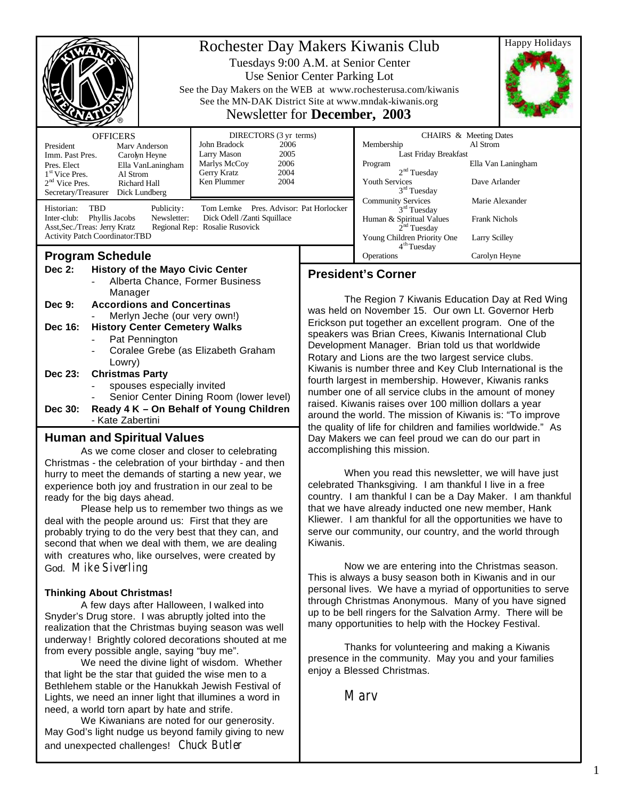| Rochester Day Makers Kiwanis Club<br>Tuesdays 9:00 A.M. at Senior Center<br>Use Senior Center Parking Lot<br>See the Day Makers on the WEB at www.rochesterusa.com/kiwanis<br>See the MN-DAK District Site at www.mndak-kiwanis.org<br>Newsletter for <b>December</b> , 2003              |  |                                                                                                                                             |                                                                                                                                                                                                                                                                                                                                                                                                                                                                                                                                                                                                                                                                      | <b>Happy Holidays</b>                                                                                                                                                                                                                            |                                              |
|-------------------------------------------------------------------------------------------------------------------------------------------------------------------------------------------------------------------------------------------------------------------------------------------|--|---------------------------------------------------------------------------------------------------------------------------------------------|----------------------------------------------------------------------------------------------------------------------------------------------------------------------------------------------------------------------------------------------------------------------------------------------------------------------------------------------------------------------------------------------------------------------------------------------------------------------------------------------------------------------------------------------------------------------------------------------------------------------------------------------------------------------|--------------------------------------------------------------------------------------------------------------------------------------------------------------------------------------------------------------------------------------------------|----------------------------------------------|
| <b>OFFICERS</b><br>President<br>Mary Anderson<br>Imm. Past Pres.<br>Carolyn Heyne<br>Pres. Elect<br>Ella VanLaningham<br>$1st$ Vice Pres.<br>Al Strom<br>2 <sup>nd</sup> Vice Pres.<br>Richard Hall<br>Secretary/Treasurer<br>Dick Lundberg                                               |  | DIRECTORS (3 yr terms)<br>John Bradock<br>2006<br>2005<br>Larry Mason<br>2006<br>Marlys McCoy<br>Gerry Kratz<br>2004<br>Ken Plummer<br>2004 |                                                                                                                                                                                                                                                                                                                                                                                                                                                                                                                                                                                                                                                                      | CHAIRS & Meeting Dates<br>Membership<br>Al Strom<br>Last Friday Breakfast<br>Ella Van Laningham<br>Program<br>2 <sup>nd</sup> Tuesday<br><b>Youth Services</b><br>Dave Arlander<br>$3rd$ Tuesday<br><b>Community Services</b><br>Marie Alexander |                                              |
| <b>TBD</b><br>Historian:<br>Tom Lemke Pres. Advisor: Pat Horlocker<br>Publicity:<br>Inter-club:<br>Phyllis Jacobs<br>Newsletter:<br>Dick Odell /Zanti Squillace<br>Asst, Sec./Treas: Jerry Kratz<br>Regional Rep: Rosalie Rusovick<br><b>Activity Patch Coordinator:TBD</b>               |  |                                                                                                                                             |                                                                                                                                                                                                                                                                                                                                                                                                                                                                                                                                                                                                                                                                      | $3rd$ Tuesday<br>Human & Spiritual Values<br>2 <sup>nd</sup> Tuesday<br>Young Children Priority One<br>4 <sup>th</sup> Tuesday                                                                                                                   | <b>Frank Nichols</b><br><b>Larry Scilley</b> |
| <b>Program Schedule</b>                                                                                                                                                                                                                                                                   |  |                                                                                                                                             |                                                                                                                                                                                                                                                                                                                                                                                                                                                                                                                                                                                                                                                                      | Operations                                                                                                                                                                                                                                       | Carolyn Heyne                                |
| Dec 2:<br><b>History of the Mayo Civic Center</b><br>Alberta Chance, Former Business<br>Manager<br><b>Accordions and Concertinas</b><br>Dec 9:<br>Merlyn Jeche (our very own!)<br><b>History Center Cemetery Walks</b><br>Dec 16:<br>Pat Pennington<br>Coralee Grebe (as Elizabeth Graham |  |                                                                                                                                             | <b>President's Corner</b><br>The Region 7 Kiwanis Education Day at Red Wing<br>was held on November 15. Our own Lt. Governor Herb<br>Erickson put together an excellent program. One of the<br>speakers was Brian Crees, Kiwanis International Club<br>Development Manager. Brian told us that worldwide<br>Rotary and Lions are the two largest service clubs.<br>Kiwanis is number three and Key Club International is the<br>fourth largest in membership. However, Kiwanis ranks<br>number one of all service clubs in the amount of money<br>raised. Kiwanis raises over 100 million dollars a year<br>around the world. The mission of Kiwanis is: "To improve |                                                                                                                                                                                                                                                  |                                              |
| Lowry)<br><b>Christmas Party</b><br>Dec 23:<br>spouses especially invited<br>Senior Center Dining Room (lower level)<br>Ready 4 K - On Behalf of Young Children<br>Dec 30:<br>- Kate Zabertini                                                                                            |  |                                                                                                                                             |                                                                                                                                                                                                                                                                                                                                                                                                                                                                                                                                                                                                                                                                      |                                                                                                                                                                                                                                                  |                                              |
| <b>Human and Spiritual Values</b>                                                                                                                                                                                                                                                         |  |                                                                                                                                             | the quality of life for children and families worldwide." As<br>Day Makers we can feel proud we can do our part in                                                                                                                                                                                                                                                                                                                                                                                                                                                                                                                                                   |                                                                                                                                                                                                                                                  |                                              |
| As we come closer and closer to celebrating<br>Christmas - the celebration of your birthday - and then<br>hurry to meet the demands of starting a new year, we<br>experience both joy and frustration in our zeal to be                                                                   |  |                                                                                                                                             | accomplishing this mission.<br>When you read this newsletter, we will have just<br>celebrated Thanksgiving. I am thankful I live in a free                                                                                                                                                                                                                                                                                                                                                                                                                                                                                                                           |                                                                                                                                                                                                                                                  |                                              |

Please help us to remember two things as we deal with the people around us: First that they are probably trying to do the very best that they can, and second that when we deal with them, we are dealing with creatures who, like ourselves, were created by God. Mike Siverling

#### **Thinking About Christmas!**

ready for the big days ahead.

A few days after Halloween, I walked into Snyder's Drug store. I was abruptly jolted into the realization that the Christmas buying season was well underway ! Brightly colored decorations shouted at me from every possible angle, saying "buy me".

We need the divine light of wisdom. Whether that light be the star that guided the wise men to a Bethlehem stable or the Hanukkah Jewish Festival of Lights, we need an inner light that illumines a word in need, a world torn apart by hate and strife.

We Kiwanians are noted for our generosity. May God's light nudge us beyond family giving to new and unexpected challenges! Chuck Butler

country. I am thankful I can be a Day Maker. I am thankful that we have already inducted one new member, Hank Kliewer. I am thankful for all the opportunities we have to serve our community, our country, and the world through Kiwanis.

Now we are entering into the Christmas season. This is always a busy season both in Kiwanis and in our personal lives. We have a myriad of opportunities to serve through Christmas Anonymous. Many of you have signed up to be bell ringers for the Salvation Army. There will be many opportunities to help with the Hockey Festival.

Thanks for volunteering and making a Kiwanis presence in the community. May you and your families enjoy a Blessed Christmas.

**Mary**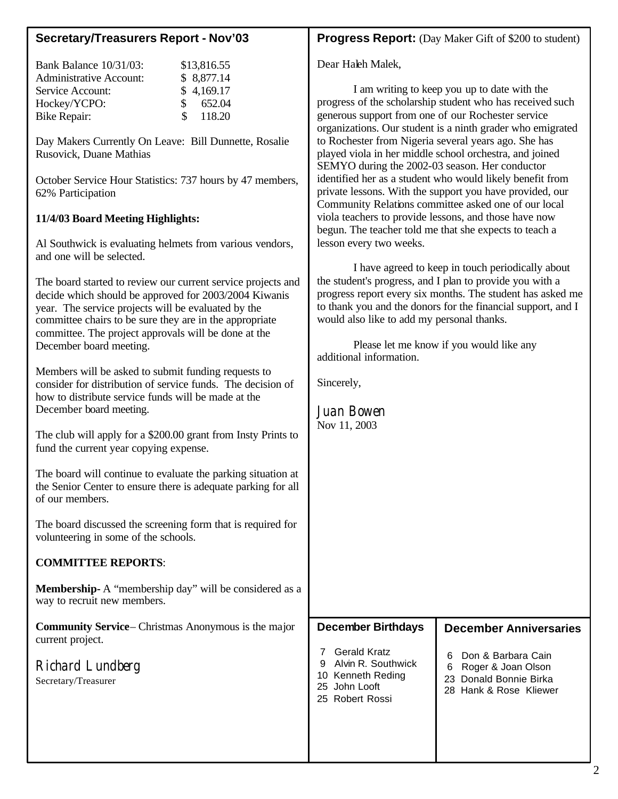# **Secretary/Treasurers Report - Nov'03**

| <b>Bank Balance 10/31/03:</b> | \$13,816.55             |
|-------------------------------|-------------------------|
| Administrative Account:       | \$8,877.14              |
| Service Account:              | \$4,169.17              |
| Hockey/YCPO:                  | 652.04<br>$\mathcal{S}$ |
| Bike Repair:                  | 118.20<br>$\mathcal{S}$ |
|                               |                         |

Day Makers Currently On Leave: Bill Dunnette, Rosalie Rusovick, Duane Mathias

October Service Hour Statistics: 737 hours by 47 members, 62% Participation

# **11/4/03 Board Meeting Highlights:**

Al Southwick is evaluating helmets from various vendors, and one will be selected.

The board started to review our current service projects and decide which should be approved for 2003/2004 Kiwanis year. The service projects will be evaluated by the committee chairs to be sure they are in the appropriate committee. The project approvals will be done at the December board meeting.

Members will be asked to submit funding requests to consider for distribution of service funds. The decision of how to distribute service funds will be made at the December board meeting.

The club will apply for a \$200.00 grant from Insty Prints to fund the current year copying expense.

The board will continue to evaluate the parking situation at the Senior Center to ensure there is adequate parking for all of our members.

The board discussed the screening form that is required for volunteering in some of the schools.

# **COMMITTEE REPORTS**:

**Membership-** A "membership day" will be considered as a way to recruit new members.

**Community Service**– Christmas Anonymous is the major current project.

Richard Lundberg Secretary/Treasurer

# **Progress Report:** (Day Maker Gift of \$200 to student)

Dear Haleh Malek,

I am writing to keep you up to date with the progress of the scholarship student who has received such generous support from one of our Rochester service organizations. Our student is a ninth grader who emigrated to Rochester from Nigeria several years ago. She has played viola in her middle school orchestra, and joined SEMYO during the 2002-03 season. Her conductor identified her as a student who would likely benefit from private lessons. With the support you have provided, our Community Relations committee asked one of our local viola teachers to provide lessons, and those have now begun. The teacher told me that she expects to teach a lesson every two weeks.

I have agreed to keep in touch periodically about the student's progress, and I plan to provide you with a progress report every six months. The student has asked me to thank you and the donors for the financial support, and I would also like to add my personal thanks.

Please let me know if you would like any additional information.

Sincerely,

**December Anniversaries** 6 Don & Barbara Cain 6 Roger & Joan Olson 23 Donald Bonnie Birka 28 Hank & Rose Kliewer **December Birthdays** 7 Gerald Kratz 9 Alvin R. Southwick 10 Kenneth Reding 25 John Looft Juan Bowen Nov 11, 2003

L

2